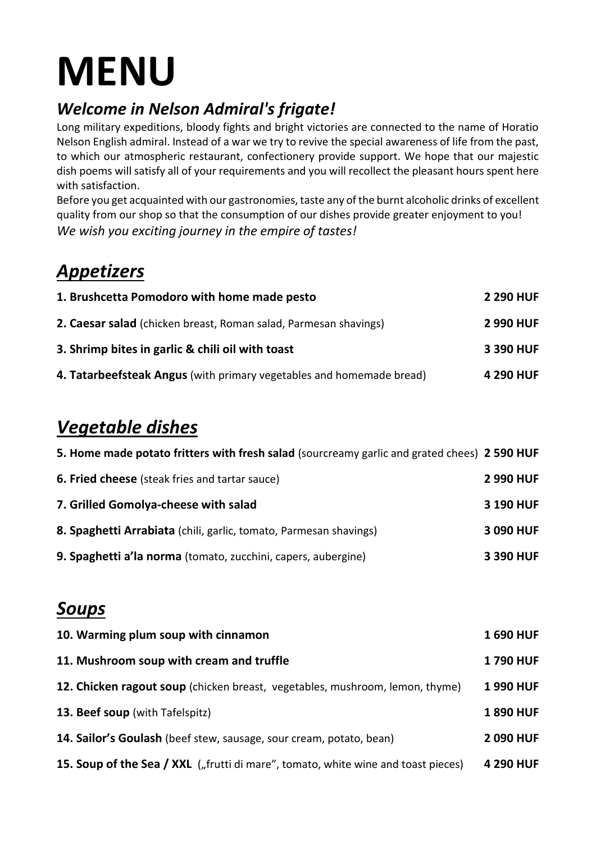# **MENU**

### *Welcome in Nelson Admiral's frigate!*

Long military expeditions, bloody fights and bright victories are connected to the name of Horatio Nelson English admiral. Instead of a war we try to revive the special awareness of life from the past, to which our atmospheric restaurant, confectionery provide support. We hope that our majestic dish poems will satisfy all of your requirements and you will recollect the pleasant hours spent here with satisfaction.

Before you get acquainted with our gastronomies, taste any of the burnt alcoholic drinks of excellent quality from our shop so that the consumption of our dishes provide greater enjoyment to you! *We wish you exciting journey in the empire of tastes!*

### *Appetizers*

| 1. Brushcetta Pomodoro with home made pesto                          | <b>2 290 HUF</b> |
|----------------------------------------------------------------------|------------------|
| 2. Caesar salad (chicken breast, Roman salad, Parmesan shavings)     | <b>2 990 HUF</b> |
| 3. Shrimp bites in garlic & chili oil with toast                     | 3 390 HUF        |
| 4. Tatarbeefsteak Angus (with primary vegetables and homemade bread) | 4 290 HUF        |

# *Vegetable dishes*

| 5. Home made potato fritters with fresh salad (sourcreamy garlic and grated chees) 2 590 HUF |                  |
|----------------------------------------------------------------------------------------------|------------------|
| <b>6. Fried cheese</b> (steak fries and tartar sauce)                                        | <b>2 990 HUF</b> |
| 7. Grilled Gomolya-cheese with salad                                                         | 3 190 HUF        |
| 8. Spaghetti Arrabiata (chili, garlic, tomato, Parmesan shavings)                            | 3 090 HUF        |
| 9. Spaghetti a'la norma (tomato, zucchini, capers, aubergine)                                | 3 390 HUF        |

### *Soups*

| 10. Warming plum soup with cinnamon                                               | <b>1690 HUF</b> |
|-----------------------------------------------------------------------------------|-----------------|
| 11. Mushroom soup with cream and truffle                                          | <b>1790 HUF</b> |
| 12. Chicken ragout soup (chicken breast, vegetables, mushroom, lemon, thyme)      | <b>1990 HUF</b> |
| <b>13. Beef soup</b> (with Tafelspitz)                                            | <b>1890 HUF</b> |
| 14. Sailor's Goulash (beef stew, sausage, sour cream, potato, bean)               | 2090 HUF        |
| 15. Soup of the Sea / XXL ("frutti di mare", tomato, white wine and toast pieces) | 4 290 HUF       |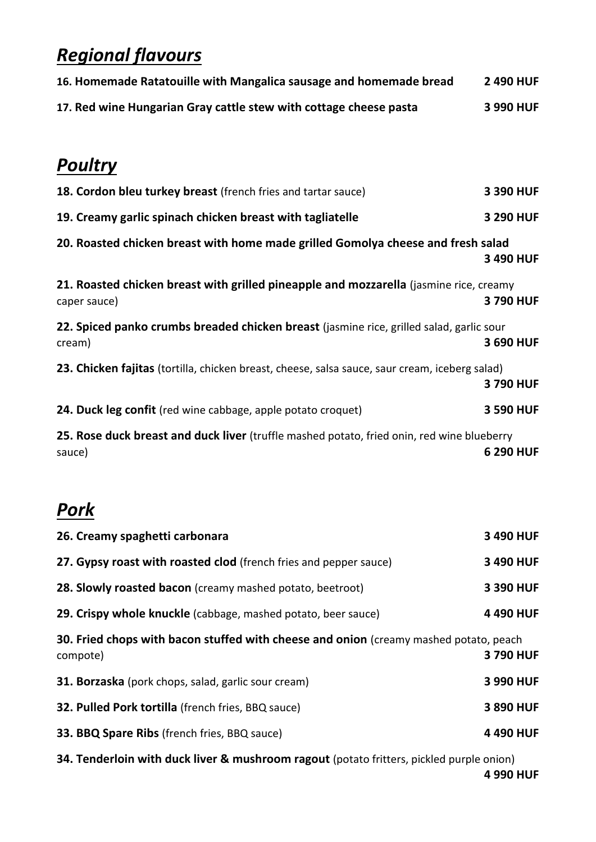## *Regional flavours*

| 16. Homemade Ratatouille with Mangalica sausage and homemade bread | 2 490 HUF |
|--------------------------------------------------------------------|-----------|
| 17. Red wine Hungarian Gray cattle stew with cottage cheese pasta  | 3 990 HUF |

### *Poultry*

| 18. Cordon bleu turkey breast (french fries and tartar sauce)                                          | 3 390 HUF |
|--------------------------------------------------------------------------------------------------------|-----------|
| 19. Creamy garlic spinach chicken breast with tagliatelle                                              | 3 290 HUF |
| 20. Roasted chicken breast with home made grilled Gomolya cheese and fresh salad                       | 3 490 HUF |
| 21. Roasted chicken breast with grilled pineapple and mozzarella (jasmine rice, creamy<br>caper sauce) | 3790 HUF  |
| 22. Spiced panko crumbs breaded chicken breast (jasmine rice, grilled salad, garlic sour<br>cream)     | 3 690 HUF |
| 23. Chicken fajitas (tortilla, chicken breast, cheese, salsa sauce, saur cream, iceberg salad)         | 3790 HUF  |
| 24. Duck leg confit (red wine cabbage, apple potato croquet)                                           | 3 590 HUF |
| 25. Rose duck breast and duck liver (truffle mashed potato, fried onin, red wine blueberry<br>sauce)   | 6 290 HUF |

### *Pork*

| 3 490 HUF                                                                                         |
|---------------------------------------------------------------------------------------------------|
| 3 490 HUF                                                                                         |
| 3 390 HUF                                                                                         |
| 4 490 HUF                                                                                         |
| 30. Fried chops with bacon stuffed with cheese and onion (creamy mashed potato, peach<br>3790 HUF |
| 3 990 HUF                                                                                         |
| 3 890 HUF                                                                                         |
| 4 490 HUF                                                                                         |
|                                                                                                   |

**34. Tenderloin with duck liver & mushroom ragout** (potato fritters, pickled purple onion)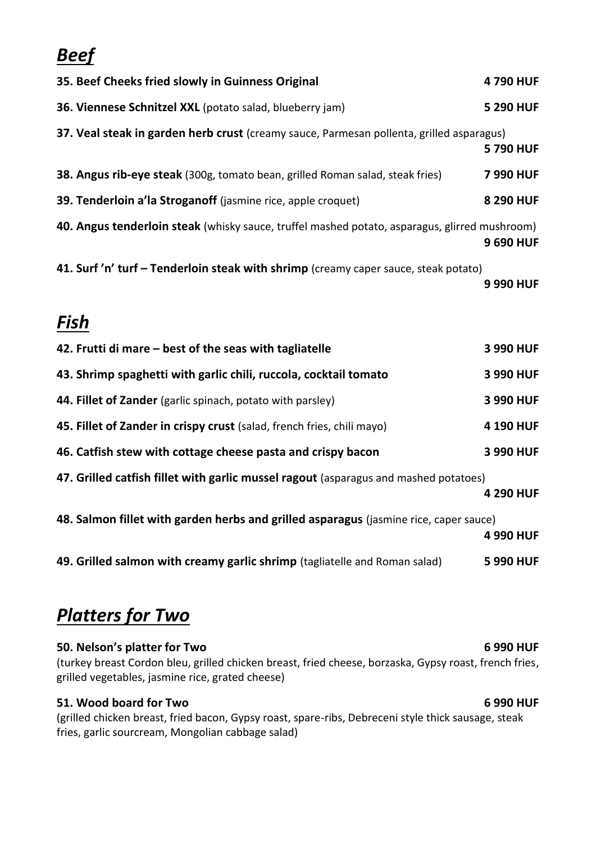### *Beef*

| 35. Beef Cheeks fried slowly in Guinness Original                                             | 4790 HUF  |
|-----------------------------------------------------------------------------------------------|-----------|
| 36. Viennese Schnitzel XXL (potato salad, blueberry jam)                                      | 5 290 HUF |
| 37. Veal steak in garden herb crust (creamy sauce, Parmesan pollenta, grilled asparagus)      | 5790 HUF  |
| 38. Angus rib-eye steak (300g, tomato bean, grilled Roman salad, steak fries)                 | 7990 HUF  |
| 39. Tenderloin a'la Stroganoff (jasmine rice, apple croquet)                                  | 8 290 HUF |
| 40. Angus tenderloin steak (whisky sauce, truffel mashed potato, asparagus, glirred mushroom) | 9 690 HUF |
| 41. Surf 'n' turf - Tenderloin steak with shrimp (creamy caper sauce, steak potato)           | 9 990 HUF |
| Fish                                                                                          |           |
| 42. Frutti di mare – best of the seas with tagliatelle                                        | 3 990 HUF |
| 43. Shrimp spaghetti with garlic chili, ruccola, cocktail tomato                              | 3 990 HUF |
| 44. Fillet of Zander (garlic spinach, potato with parsley)                                    | 3 990 HUF |
| 45. Fillet of Zander in crispy crust (salad, french fries, chili mayo)                        | 4 190 HUF |
| 46. Catfish stew with cottage cheese pasta and crispy bacon                                   | 3 990 HUF |
| 47. Grilled catfish fillet with garlic mussel ragout (asparagus and mashed potatoes)          | 4 290 HUF |

**48. Salmon fillet with garden herbs and grilled asparagus** (jasmine rice, caper sauce)

**4 990 HUF**

**49. Grilled salmon with creamy garlic shrimp** (tagliatelle and Roman salad) **5 990 HUF**

### *Platters for Two*

### **50. Nelson's platter for Two 6 990 HUF**

(turkey breast Cordon bleu, grilled chicken breast, fried cheese, borzaska, Gypsy roast, french fries, grilled vegetables, jasmine rice, grated cheese)

### **51. Wood board for Two 6 990 HUF**

(grilled chicken breast, fried bacon, Gypsy roast, spare-ribs, Debreceni style thick sausage, steak fries, garlic sourcream, Mongolian cabbage salad)